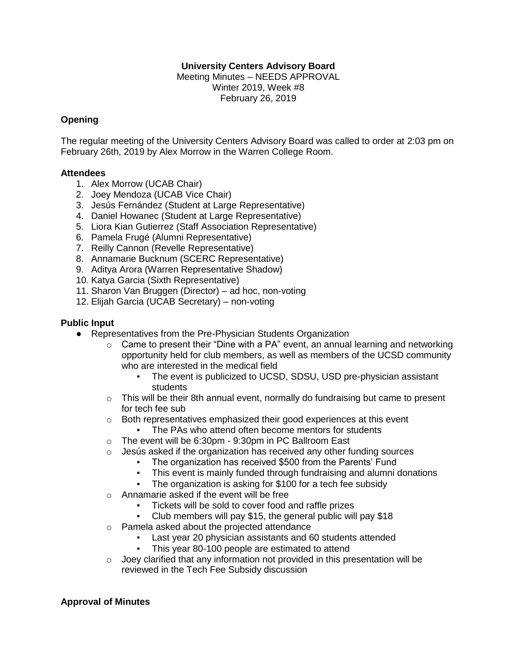### **University Centers Advisory Board**

Meeting Minutes – NEEDS APPROVAL Winter 2019, Week #8 February 26, 2019

### **Opening**

The regular meeting of the University Centers Advisory Board was called to order at 2:03 pm on February 26th, 2019 by Alex Morrow in the Warren College Room.

#### **Attendees**

- 1. Alex Morrow (UCAB Chair)
- 2. Joey Mendoza (UCAB Vice Chair)
- 3. Jesús Fernández (Student at Large Representative)
- 4. Daniel Howanec (Student at Large Representative)
- 5. Liora Kian Gutierrez (Staff Association Representative)
- 6. Pamela Frugé (Alumni Representative)
- 7. Reilly Cannon (Revelle Representative)
- 8. Annamarie Bucknum (SCERC Representative)
- 9. Aditya Arora (Warren Representative Shadow)
- 10. Katya Garcia (Sixth Representative)
- 11. Sharon Van Bruggen (Director) ad hoc, non-voting
- 12. Elijah Garcia (UCAB Secretary) non-voting

### **Public Input**

- Representatives from the Pre-Physician Students Organization
	- $\circ$  Came to present their "Dine with a PA" event, an annual learning and networking opportunity held for club members, as well as members of the UCSD community who are interested in the medical field
		- The event is publicized to UCSD, SDSU, USD pre-physician assistant students
	- $\circ$  This will be their 8th annual event, normally do fundraising but came to present for tech fee sub
	- $\circ$  Both representatives emphasized their good experiences at this event
		- The PAs who attend often become mentors for students
	- o The event will be 6:30pm 9:30pm in PC Ballroom East
	- $\circ$  Jesús asked if the organization has received any other funding sources
		- The organization has received \$500 from the Parents' Fund
		- This event is mainly funded through fundraising and alumni donations
		- The organization is asking for \$100 for a tech fee subsidy
	- o Annamarie asked if the event will be free
		- Tickets will be sold to cover food and raffle prizes
		- Club members will pay \$15, the general public will pay \$18
	- o Pamela asked about the projected attendance
		- Last year 20 physician assistants and 60 students attended
			- This year 80-100 people are estimated to attend
	- $\circ$  Joey clarified that any information not provided in this presentation will be reviewed in the Tech Fee Subsidy discussion

### **Approval of Minutes**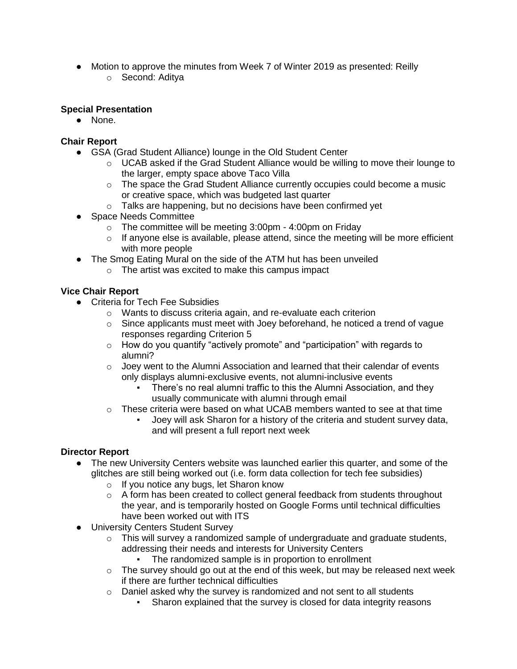● Motion to approve the minutes from Week 7 of Winter 2019 as presented: Reilly o Second: Aditya

### **Special Presentation**

● None.

### **Chair Report**

- GSA (Grad Student Alliance) lounge in the Old Student Center
	- $\circ$  UCAB asked if the Grad Student Alliance would be willing to move their lounge to the larger, empty space above Taco Villa
	- $\circ$  The space the Grad Student Alliance currently occupies could become a music or creative space, which was budgeted last quarter
	- o Talks are happening, but no decisions have been confirmed yet
- Space Needs Committee
	- o The committee will be meeting 3:00pm 4:00pm on Friday
	- o If anyone else is available, please attend, since the meeting will be more efficient with more people
- The Smog Eating Mural on the side of the ATM hut has been unveiled
	- o The artist was excited to make this campus impact

# **Vice Chair Report**

- Criteria for Tech Fee Subsidies
	- o Wants to discuss criteria again, and re-evaluate each criterion
	- $\circ$  Since applicants must meet with Joey beforehand, he noticed a trend of vague responses regarding Criterion 5
	- $\circ$  How do you quantify "actively promote" and "participation" with regards to alumni?
	- $\circ$  Joey went to the Alumni Association and learned that their calendar of events only displays alumni-exclusive events, not alumni-inclusive events
		- There's no real alumni traffic to this the Alumni Association, and they usually communicate with alumni through email
	- o These criteria were based on what UCAB members wanted to see at that time
		- Joey will ask Sharon for a history of the criteria and student survey data, and will present a full report next week

# **Director Report**

- The new University Centers website was launched earlier this quarter, and some of the glitches are still being worked out (i.e. form data collection for tech fee subsidies)
	- o If you notice any bugs, let Sharon know
	- o A form has been created to collect general feedback from students throughout the year, and is temporarily hosted on Google Forms until technical difficulties have been worked out with ITS
- University Centers Student Survey
	- $\circ$  This will survey a randomized sample of undergraduate and graduate students, addressing their needs and interests for University Centers
		- The randomized sample is in proportion to enrollment
	- $\circ$  The survey should go out at the end of this week, but may be released next week if there are further technical difficulties
	- o Daniel asked why the survey is randomized and not sent to all students
		- Sharon explained that the survey is closed for data integrity reasons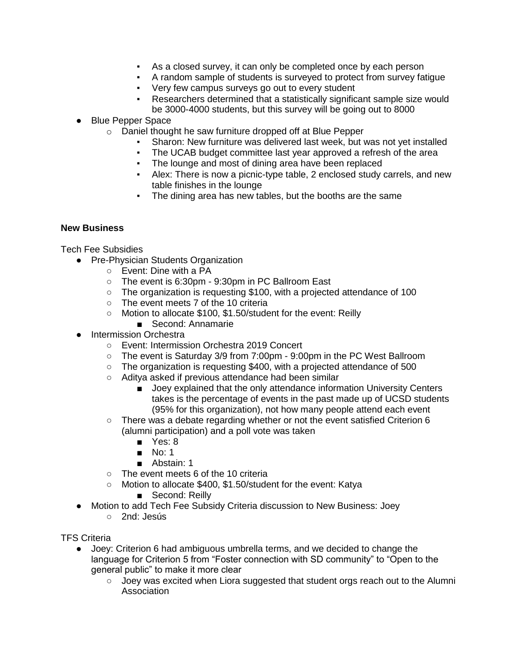- As a closed survey, it can only be completed once by each person
- A random sample of students is surveyed to protect from survey fatigue
- Very few campus surveys go out to every student
- Researchers determined that a statistically significant sample size would be 3000-4000 students, but this survey will be going out to 8000
- Blue Pepper Space
	- o Daniel thought he saw furniture dropped off at Blue Pepper
		- Sharon: New furniture was delivered last week, but was not yet installed
		- The UCAB budget committee last year approved a refresh of the area
		- The lounge and most of dining area have been replaced
		- Alex: There is now a picnic-type table, 2 enclosed study carrels, and new table finishes in the lounge
		- The dining area has new tables, but the booths are the same

### **New Business**

Tech Fee Subsidies

- Pre-Physician Students Organization
	- Event: Dine with a PA
	- The event is 6:30pm 9:30pm in PC Ballroom East
	- The organization is requesting \$100, with a projected attendance of 100
	- The event meets 7 of the 10 criteria
	- Motion to allocate \$100, \$1.50/student for the event: Reilly
		- Second: Annamarie
- Intermission Orchestra
	- Event: Intermission Orchestra 2019 Concert
	- The event is Saturday 3/9 from 7:00pm 9:00pm in the PC West Ballroom
	- The organization is requesting \$400, with a projected attendance of 500
	- Aditya asked if previous attendance had been similar
		- Joey explained that the only attendance information University Centers takes is the percentage of events in the past made up of UCSD students (95% for this organization), not how many people attend each event
	- $\circ$  There was a debate regarding whether or not the event satisfied Criterion 6 (alumni participation) and a poll vote was taken
		- Yes: 8
		- No: 1
		- Abstain: 1
	- The event meets 6 of the 10 criteria
	- Motion to allocate \$400, \$1.50/student for the event: Katya
		- Second: Reilly
- Motion to add Tech Fee Subsidy Criteria discussion to New Business: Joey
	- o 2nd: Jesús

#### TFS Criteria

- Joey: Criterion 6 had ambiguous umbrella terms, and we decided to change the language for Criterion 5 from "Foster connection with SD community" to "Open to the general public" to make it more clear
	- Joey was excited when Liora suggested that student orgs reach out to the Alumni Association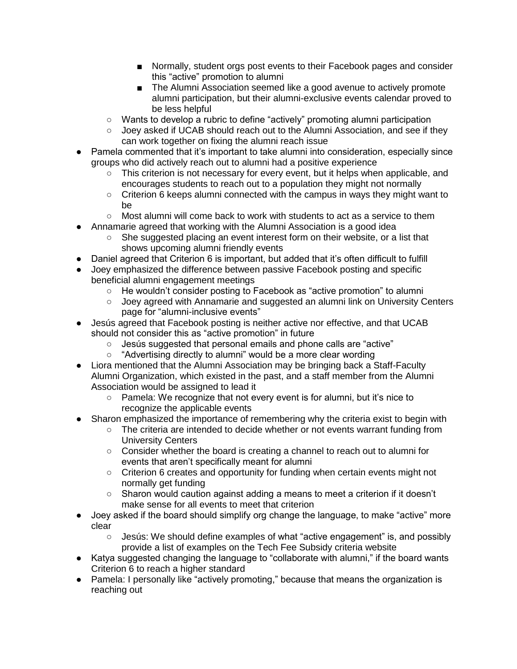- Normally, student orgs post events to their Facebook pages and consider this "active" promotion to alumni
- The Alumni Association seemed like a good avenue to actively promote alumni participation, but their alumni-exclusive events calendar proved to be less helpful
- Wants to develop a rubric to define "actively" promoting alumni participation
- Joey asked if UCAB should reach out to the Alumni Association, and see if they can work together on fixing the alumni reach issue
- Pamela commented that it's important to take alumni into consideration, especially since groups who did actively reach out to alumni had a positive experience
	- This criterion is not necessary for every event, but it helps when applicable, and encourages students to reach out to a population they might not normally
	- Criterion 6 keeps alumni connected with the campus in ways they might want to be
	- $\circ$  Most alumni will come back to work with students to act as a service to them
- Annamarie agreed that working with the Alumni Association is a good idea
	- She suggested placing an event interest form on their website, or a list that shows upcoming alumni friendly events
- Daniel agreed that Criterion 6 is important, but added that it's often difficult to fulfill
- Joey emphasized the difference between passive Facebook posting and specific beneficial alumni engagement meetings
	- He wouldn't consider posting to Facebook as "active promotion" to alumni
	- Joey agreed with Annamarie and suggested an alumni link on University Centers page for "alumni-inclusive events"
- Jesús agreed that Facebook posting is neither active nor effective, and that UCAB should not consider this as "active promotion" in future
	- Jesús suggested that personal emails and phone calls are "active"
	- "Advertising directly to alumni" would be a more clear wording
- Liora mentioned that the Alumni Association may be bringing back a Staff-Faculty Alumni Organization, which existed in the past, and a staff member from the Alumni Association would be assigned to lead it
	- Pamela: We recognize that not every event is for alumni, but it's nice to recognize the applicable events
- Sharon emphasized the importance of remembering why the criteria exist to begin with
	- The criteria are intended to decide whether or not events warrant funding from University Centers
	- Consider whether the board is creating a channel to reach out to alumni for events that aren't specifically meant for alumni
	- Criterion 6 creates and opportunity for funding when certain events might not normally get funding
	- Sharon would caution against adding a means to meet a criterion if it doesn't make sense for all events to meet that criterion
- Joey asked if the board should simplify org change the language, to make "active" more clear
	- Jesús: We should define examples of what "active engagement" is, and possibly provide a list of examples on the Tech Fee Subsidy criteria website
- Katya suggested changing the language to "collaborate with alumni," if the board wants Criterion 6 to reach a higher standard
- Pamela: I personally like "actively promoting," because that means the organization is reaching out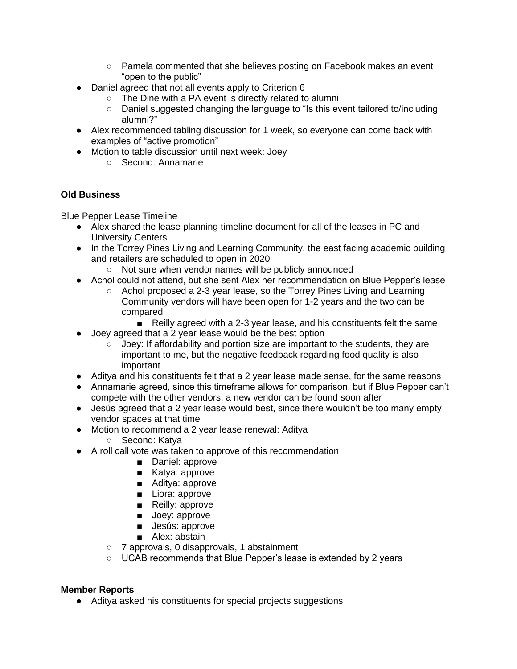- Pamela commented that she believes posting on Facebook makes an event "open to the public"
- Daniel agreed that not all events apply to Criterion 6
	- The Dine with a PA event is directly related to alumni
	- Daniel suggested changing the language to "Is this event tailored to/including alumni?"
- Alex recommended tabling discussion for 1 week, so everyone can come back with examples of "active promotion"
- Motion to table discussion until next week: Joey
	- Second: Annamarie

# **Old Business**

Blue Pepper Lease Timeline

- Alex shared the lease planning timeline document for all of the leases in PC and University Centers
- In the Torrey Pines Living and Learning Community, the east facing academic building and retailers are scheduled to open in 2020
	- Not sure when vendor names will be publicly announced
- Achol could not attend, but she sent Alex her recommendation on Blue Pepper's lease
	- Achol proposed a 2-3 year lease, so the Torrey Pines Living and Learning Community vendors will have been open for 1-2 years and the two can be compared
		- Reilly agreed with a 2-3 year lease, and his constituents felt the same
- Joey agreed that a 2 year lease would be the best option
	- $\circ$  Joey: If affordability and portion size are important to the students, they are important to me, but the negative feedback regarding food quality is also important
- Aditya and his constituents felt that a 2 year lease made sense, for the same reasons
- Annamarie agreed, since this timeframe allows for comparison, but if Blue Pepper can't compete with the other vendors, a new vendor can be found soon after
- Jesús agreed that a 2 year lease would best, since there wouldn't be too many empty vendor spaces at that time
- Motion to recommend a 2 year lease renewal: Aditya
	- Second: Katya
- A roll call vote was taken to approve of this recommendation
	- Daniel: approve
	- Katya: approve
	- Aditya: approve
	- Liora: approve
	- Reilly: approve
	- Joey: approve
	- Jesús: approve
	- Alex: abstain
	- 7 approvals, 0 disapprovals, 1 abstainment
	- UCAB recommends that Blue Pepper's lease is extended by 2 years

### **Member Reports**

● Aditya asked his constituents for special projects suggestions